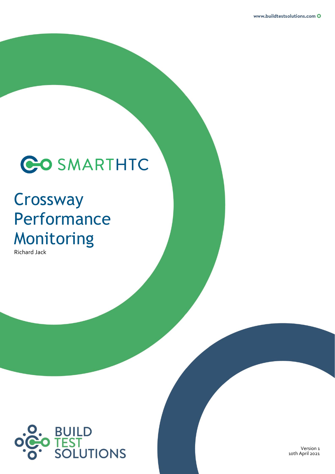

## **Crossway** Performance Monitoring

Richard Jack



Version 1 10th April 2021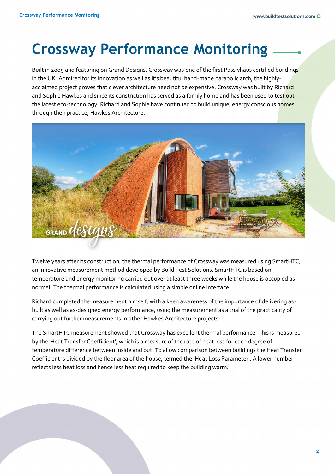## **Crossway Performance Monitoring**

Built in 2009 and featuring on Grand Designs, Crossway was one of the first Passivhaus certified buildings in the UK. Admired for its innovation as well as it's beautiful hand-made parabolic arch, the highlyacclaimed project proves that clever architecture need not be expensive. Crossway was built by Richard and Sophie Hawkes and since its constriction has served as a family home and has been used to test out the latest eco-technology. Richard and Sophie have continued to build unique, energy conscious homes through their practice, Hawkes Architecture.



Twelve years after its construction, the thermal performance of Crossway was measured using SmartHTC, an innovative measurement method developed by Build Test Solutions. SmartHTC is based on temperature and energy monitoring carried out over at least three weeks while the house is occupied as normal. The thermal performance is calculated using a simple online interface.

Richard completed the measurement himself, with a keen awareness of the importance of delivering asbuilt as well as as-designed energy performance, using the measurement as a trial of the practicality of carrying out further measurements in other Hawkes Architecture projects.

The SmartHTC measurement showed that Crossway has excellent thermal performance. This is measured by the 'Heat Transfer Coefficient', which is a measure of the rate of heat loss for each degree of temperature difference between inside and out. To allow comparison between buildings the Heat Transfer Coefficient is divided by the floor area of the house, termed the 'Heat Loss Parameter'. A lower number reflects less heat loss and hence less heat required to keep the building warm.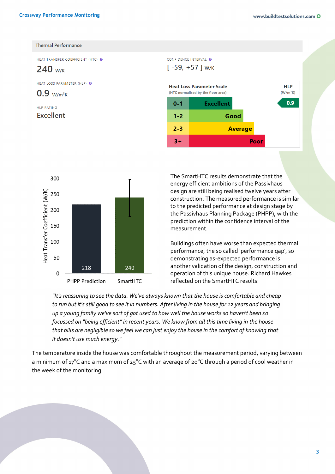## **Thermal Performance**

HEAT TRANSFER COEFFICIENT (HTC)

 $240$  W/K

HEAT LOSS PARAMETER (HLP)

 $0.9$  w/m<sup>2</sup>K

HLP RATING **Excellent** 





The SmartHTC results demonstrate that the energy efficient ambitions of the Passivhaus design are still being realised twelve years after construction. The measured performance is similar to the predicted performance at design stage by the Passivhaus Planning Package (PHPP), with the prediction within the confidence interval of the measurement.

Buildings often have worse than expected thermal performance, the so called 'performance gap', so demonstrating as-expected performance is another validation of the design, construction and operation of this unique house. Richard Hawkes reflected on the SmartHTC results:

*"It's reassuring to see the data. We've always known that the house is comfortable and cheap to run but it's still good to see it in numbers. After living in the house for 12 years and bringing up a young family we've sort of got used to how well the house works so haven't been so focussed on "being efficient" in recent years. We know from all this time living in the house that bills are negligible so we feel we can just enjoy the house in the comfort of knowing that it doesn't use much energy."*

The temperature inside the house was comfortable throughout the measurement period, varying between a minimum of 17°C and a maximum of 25°C with an average of 20°C through a period of cool weather in the week of the monitoring.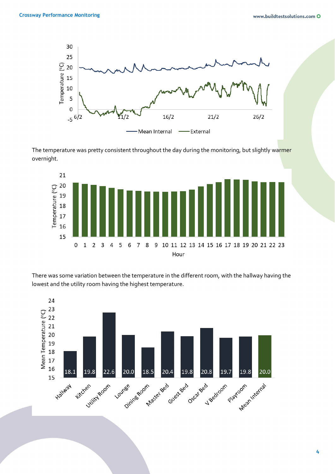

The temperature was pretty consistent throughout the day during the monitoring, but slightly warmer overnight.



There was some variation between the temperature in the different room, with the hallway having the lowest and the utility room having the highest temperature.

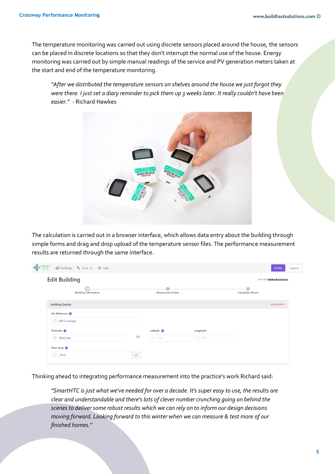The temperature monitoring was carried out using discrete sensors placed around the house, the sensors can be placed in discrete locations so that they don't interrupt the normal use of the house. Energy monitoring was carried out by simple manual readings of the service and PV generation meters taken at the start and end of the temperature monitoring.

*"After we distributed the temperature sensors on shelves around the house we just forgot they were there. I just set a diary reminder to pick them up 3 weeks later. It really couldn't have been easier." -* Richard Hawkes



The calculation is carried out in a browser interface, which allows data entry about the building through simple forms and drag and drop upload of the temperature sensor files. The performance measurement results are returned through the same interface.

| <b>o</b> COS MART<br><b>面</b> Buildings & Tools > ⑦ Help |                |                              |                | Profile                      | Logout |
|----------------------------------------------------------|----------------|------------------------------|----------------|------------------------------|--------|
| <b>Edit Building</b>                                     |                |                              |                | Account: Hawkes Architecture |        |
| 1<br><b>Building Information</b>                         |                | മ<br><b>Measurement Data</b> |                | <b>Calculation Result</b>    |        |
| <b>Building Details</b>                                  |                |                              |                | <b>REQUIRED</b>              |        |
| My Reference @                                           |                |                              |                |                              |        |
| <sup>二</sup> 000 Crossway                                |                |                              |                |                              |        |
| Postcode <sup>2</sup>                                    |                | Latitude 2                   | Longitude      |                              |        |
| $P$ TN12 0JA                                             | <b>OR</b>      | 1 0.00                       | $\lambda$ 0.00 |                              |        |
| Floor Area @                                             |                |                              |                |                              |        |
| $E$ 270.0                                                | m <sup>2</sup> |                              |                |                              |        |

Thinking ahead to integrating performance measurement into the practice's work Richard said:

*"SmartHTC is just what we've needed for over a decade. It's super easy to use, the results are clear and understandable and there's lots of clever number crunching going on behind the scenes to deliver some robust results which we can rely on to inform our design decisions moving forward. Looking forward to this winter when we can measure & test more of our finished homes."*